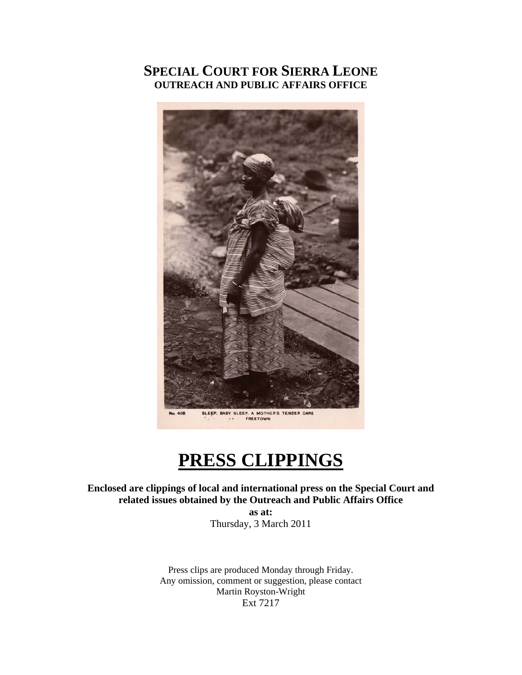# **SPECIAL COURT FOR SIERRA LEONE OUTREACH AND PUBLIC AFFAIRS OFFICE**



# **PRESS CLIPPINGS**

**Enclosed are clippings of local and international press on the Special Court and related issues obtained by the Outreach and Public Affairs Office** 

**as at:**  Thursday, 3 March 2011

Press clips are produced Monday through Friday. Any omission, comment or suggestion, please contact Martin Royston-Wright Ext 7217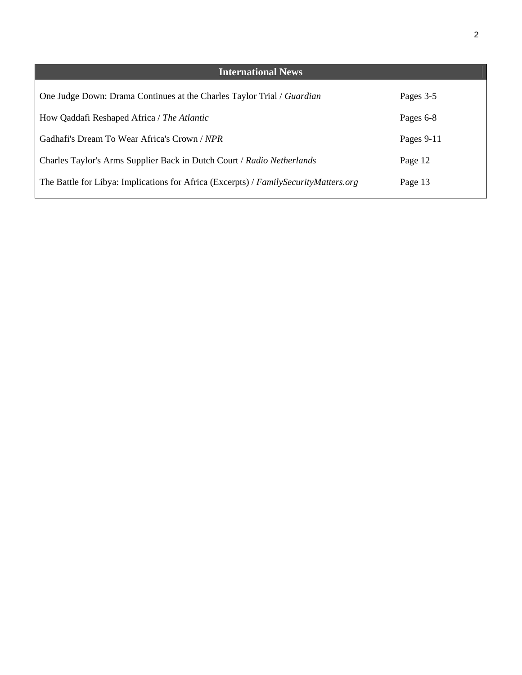| <b>International News</b>                                                              |              |
|----------------------------------------------------------------------------------------|--------------|
| One Judge Down: Drama Continues at the Charles Taylor Trial / Guardian                 | Pages 3-5    |
| How Qaddafi Reshaped Africa / The Atlantic                                             | Pages 6-8    |
| Gadhafi's Dream To Wear Africa's Crown / NPR                                           | Pages $9-11$ |
| Charles Taylor's Arms Supplier Back in Dutch Court / Radio Netherlands                 | Page 12      |
| The Battle for Libya: Implications for Africa (Excerpts) / Family Security Matters.org | Page 13      |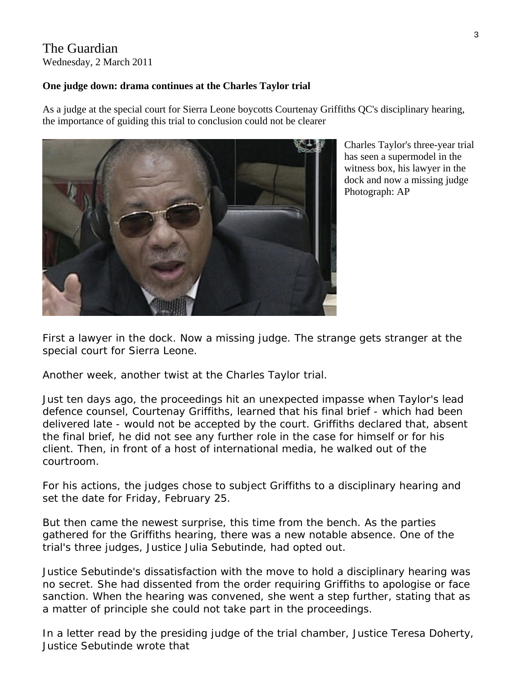## The Guardian Wednesday, 2 March 2011

#### **One judge down: drama continues at the Charles Taylor trial**

As a judge at the special court for Sierra Leone boycotts Courtenay Griffiths QC's disciplinary hearing, the importance of guiding this trial to conclusion could not be clearer



Charles Taylor's three-year trial has seen a supermodel in the witness box, his lawyer in the dock and now a missing judge Photograph: AP

First a lawyer in the dock. Now a missing judge. The strange gets stranger at the special court for Sierra Leone.

Another week, another twist at the Charles Taylor trial.

Just ten days ago, the proceedings hit an unexpected impasse when Taylor's lead defence counsel, Courtenay Griffiths, learned that his final brief - which had been delivered late - would not be accepted by the court. Griffiths declared that, absent the final brief, he did not see any further role in the case for himself or for his client. Then, in front of a host of international media, he walked out of the courtroom.

For his actions, the judges chose to subject Griffiths to a disciplinary hearing and set the date for Friday, February 25.

But then came the newest surprise, this time from the bench. As the parties gathered for the Griffiths hearing, there was a new notable absence. One of the trial's three judges, Justice Julia Sebutinde, had opted out.

Justice Sebutinde's dissatisfaction with the move to hold a disciplinary hearing was no secret. She had dissented from the order requiring Griffiths to apologise or face sanction. When the hearing was convened, she went a step further, stating that as a matter of principle she could not take part in the proceedings.

In a letter read by the presiding judge of the trial chamber, Justice Teresa Doherty, Justice Sebutinde wrote that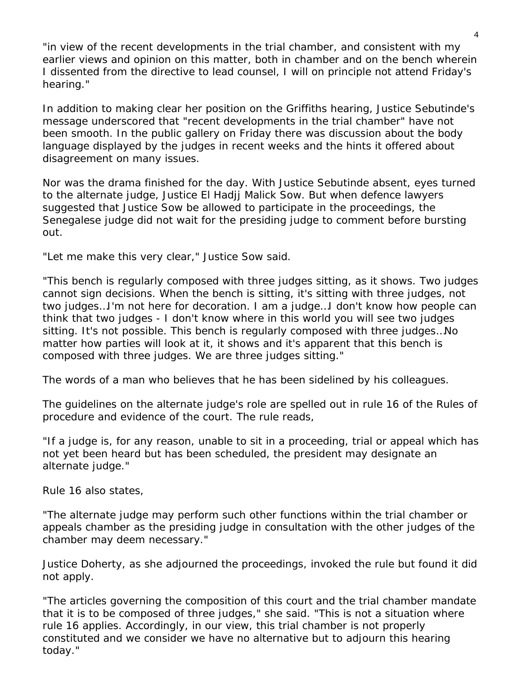"in view of the recent developments in the trial chamber, and consistent with my earlier views and opinion on this matter, both in chamber and on the bench wherein I dissented from the directive to lead counsel, I will on principle not attend Friday's hearing."

In addition to making clear her position on the Griffiths hearing, Justice Sebutinde's message underscored that "recent developments in the trial chamber" have not been smooth. In the public gallery on Friday there was discussion about the body language displayed by the judges in recent weeks and the hints it offered about disagreement on many issues.

Nor was the drama finished for the day. With Justice Sebutinde absent, eyes turned to the alternate judge, Justice El Hadjj Malick Sow. But when defence lawyers suggested that Justice Sow be allowed to participate in the proceedings, the Senegalese judge did not wait for the presiding judge to comment before bursting out.

"Let me make this very clear," Justice Sow said.

"This bench is regularly composed with three judges sitting, as it shows. Two judges cannot sign decisions. When the bench is sitting, it's sitting with three judges, not two judges…I'm not here for decoration. I am a judge…I don't know how people can think that two judges - I don't know where in this world you will see two judges sitting. It's not possible. This bench is regularly composed with three judges…No matter how parties will look at it, it shows and it's apparent that this bench is composed with three judges. We are three judges sitting."

The words of a man who believes that he has been sidelined by his colleagues.

The guidelines on the alternate judge's role are spelled out in rule 16 of the Rules of procedure and evidence of the court. The rule reads,

"If a judge is, for any reason, unable to sit in a proceeding, trial or appeal which has not yet been heard but has been scheduled, the president may designate an alternate judge."

Rule 16 also states,

"The alternate judge may perform such other functions within the trial chamber or appeals chamber as the presiding judge in consultation with the other judges of the chamber may deem necessary."

Justice Doherty, as she adjourned the proceedings, invoked the rule but found it did not apply.

"The articles governing the composition of this court and the trial chamber mandate that it is to be composed of three judges," she said. "This is not a situation where rule 16 applies. Accordingly, in our view, this trial chamber is not properly constituted and we consider we have no alternative but to adjourn this hearing today."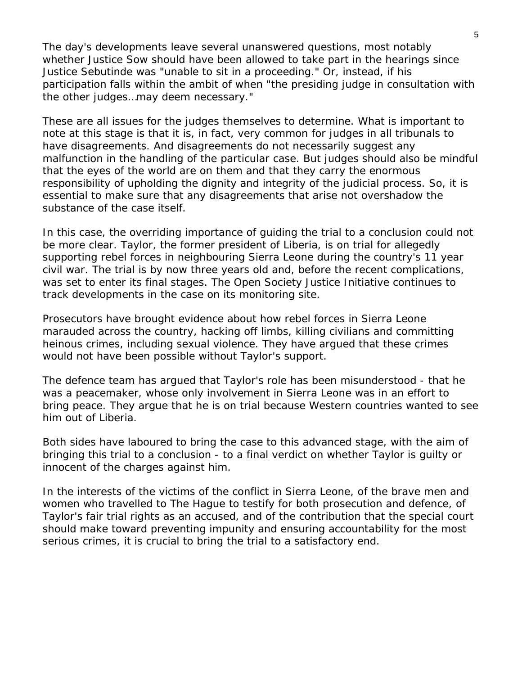The day's developments leave several unanswered questions, most notably whether Justice Sow should have been allowed to take part in the hearings since Justice Sebutinde was "unable to sit in a proceeding." Or, instead, if his participation falls within the ambit of when "the presiding judge in consultation with the other judges…may deem necessary."

These are all issues for the judges themselves to determine. What is important to note at this stage is that it is, in fact, very common for judges in all tribunals to have disagreements. And disagreements do not necessarily suggest any malfunction in the handling of the particular case. But judges should also be mindful that the eyes of the world are on them and that they carry the enormous responsibility of upholding the dignity and integrity of the judicial process. So, it is essential to make sure that any disagreements that arise not overshadow the substance of the case itself.

In this case, the overriding importance of guiding the trial to a conclusion could not be more clear. Taylor, the former president of Liberia, is on trial for allegedly supporting rebel forces in neighbouring Sierra Leone during the country's 11 year civil war. The trial is by now three years old and, before the recent complications, was set to enter its final stages. The Open Society Justice Initiative continues to track developments in the case on its monitoring site.

Prosecutors have brought evidence about how rebel forces in Sierra Leone marauded across the country, hacking off limbs, killing civilians and committing heinous crimes, including sexual violence. They have argued that these crimes would not have been possible without Taylor's support.

The defence team has argued that Taylor's role has been misunderstood - that he was a peacemaker, whose only involvement in Sierra Leone was in an effort to bring peace. They argue that he is on trial because Western countries wanted to see him out of Liberia.

Both sides have laboured to bring the case to this advanced stage, with the aim of bringing this trial to a conclusion - to a final verdict on whether Taylor is guilty or innocent of the charges against him.

In the interests of the victims of the conflict in Sierra Leone, of the brave men and women who travelled to The Hague to testify for both prosecution and defence, of Taylor's fair trial rights as an accused, and of the contribution that the special court should make toward preventing impunity and ensuring accountability for the most serious crimes, it is crucial to bring the trial to a satisfactory end.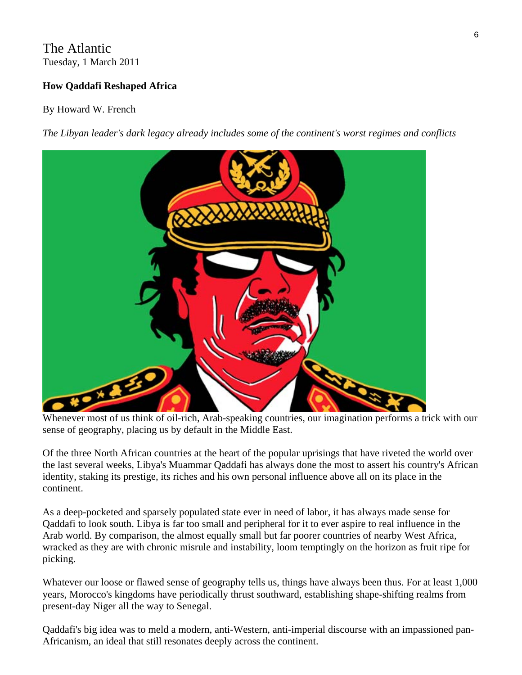## The Atlantic Tuesday, 1 March 2011

#### **How Qaddafi Reshaped Africa**

#### By Howard W. French

*The Libyan leader's dark legacy already includes some of the continent's worst regimes and conflicts* 



[Whenever most of us think of oil-rich, Arab-speaking countries, our imagination performs a tri](http://assets.theatlantic.com/static/mt/assets/howard_w_french/qaddafip.jpg)ck with our sense of geography, placing us by default in the Middle East.

Of the three North African countries at the heart of the popular uprisings that have riveted the world over the last several weeks, Libya's Muammar Qaddafi has always done the most to assert his country's African identity, staking its prestige, its riches and his own personal influence above all on its place in the continent.

As a deep-pocketed and sparsely populated state ever in need of labor, it has always made sense for Qaddafi to look south. Libya is far too small and peripheral for it to ever aspire to real influence in the Arab world. By comparison, the almost equally small but far poorer countries of nearby West Africa, wracked as they are with chronic misrule and instability, loom temptingly on the horizon as fruit ripe for picking.

Whatever our loose or flawed sense of geography tells us, things have always been thus. For at least 1,000 years, Morocco's kingdoms have periodically thrust southward, establishing shape-shifting realms from present-day Niger all the way to Senegal.

Qaddafi's big idea was to meld a modern, anti-Western, anti-imperial discourse with an impassioned pan-Africanism, an ideal that still resonates deeply across the continent.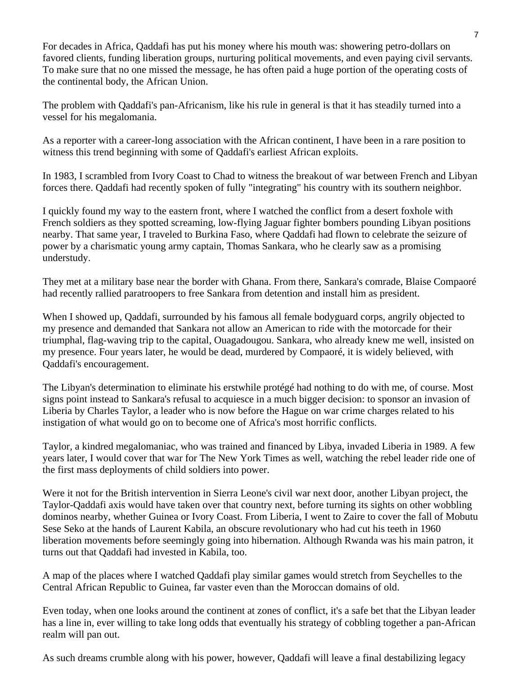For decades in Africa, Qaddafi has put his money where his mouth was: showering petro-dollars on favored clients, funding liberation groups, nurturing political movements, and even paying civil servants. To make sure that no one missed the message, he has often paid a huge portion of the operating costs of the continental body, the African Union.

The problem with Qaddafi's pan-Africanism, like his rule in general is that it has steadily turned into a vessel for his megalomania.

As a reporter with a career-long association with the African continent, I have been in a rare position to witness this trend beginning with some of Qaddafi's earliest African exploits.

In 1983, I scrambled from Ivory Coast to Chad to witness the breakout of war between French and Libyan forces there. Qaddafi had recently spoken of fully "integrating" his country with its southern neighbor.

I quickly found my way to the eastern front, where I watched the conflict from a desert foxhole with French soldiers as they spotted screaming, low-flying Jaguar fighter bombers pounding Libyan positions nearby. That same year, I traveled to Burkina Faso, where Qaddafi had flown to celebrate the seizure of power by a charismatic young army captain, Thomas Sankara, who he clearly saw as a promising understudy.

They met at a military base near the border with Ghana. From there, Sankara's comrade, Blaise Compaoré had recently rallied paratroopers to free Sankara from detention and install him as president.

When I showed up, Qaddafi, surrounded by his famous all female bodyguard corps, angrily objected to my presence and demanded that Sankara not allow an American to ride with the motorcade for their triumphal, flag-waving trip to the capital, Ouagadougou. Sankara, who already knew me well, insisted on my presence. Four years later, he would be dead, murdered by Compaoré, it is widely believed, with Qaddafi's encouragement.

The Libyan's determination to eliminate his erstwhile protégé had nothing to do with me, of course. Most signs point instead to Sankara's refusal to acquiesce in a much bigger decision: to sponsor an invasion of Liberia by Charles Taylor, a leader who is now before the Hague on war crime charges related to his instigation of what would go on to become one of Africa's most horrific conflicts.

Taylor, a kindred megalomaniac, who was trained and financed by Libya, invaded Liberia in 1989. A few years later, I would cover that war for The New York Times as well, watching the rebel leader ride one of the first mass deployments of child soldiers into power.

Were it not for the British intervention in Sierra Leone's civil war next door, another Libyan project, the Taylor-Qaddafi axis would have taken over that country next, before turning its sights on other wobbling dominos nearby, whether Guinea or Ivory Coast. From Liberia, I went to Zaire to cover the fall of Mobutu Sese Seko at the hands of Laurent Kabila, an obscure revolutionary who had cut his teeth in 1960 liberation movements before seemingly going into hibernation. Although Rwanda was his main patron, it turns out that Qaddafi had invested in Kabila, too.

A map of the places where I watched Qaddafi play similar games would stretch from Seychelles to the Central African Republic to Guinea, far vaster even than the Moroccan domains of old.

Even today, when one looks around the continent at zones of conflict, it's a safe bet that the Libyan leader has a line in, ever willing to take long odds that eventually his strategy of cobbling together a pan-African realm will pan out.

As such dreams crumble along with his power, however, Qaddafi will leave a final destabilizing legacy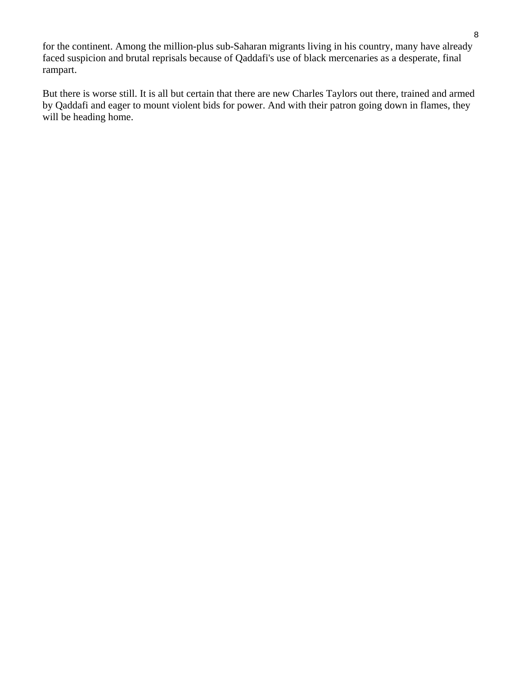for the continent. Among the million-plus sub-Saharan migrants living in his country, many have already faced suspicion and brutal reprisals because of Qaddafi's use of black mercenaries as a desperate, final rampart.

But there is worse still. It is all but certain that there are new Charles Taylors out there, trained and armed by Qaddafi and eager to mount violent bids for power. And with their patron going down in flames, they will be heading home.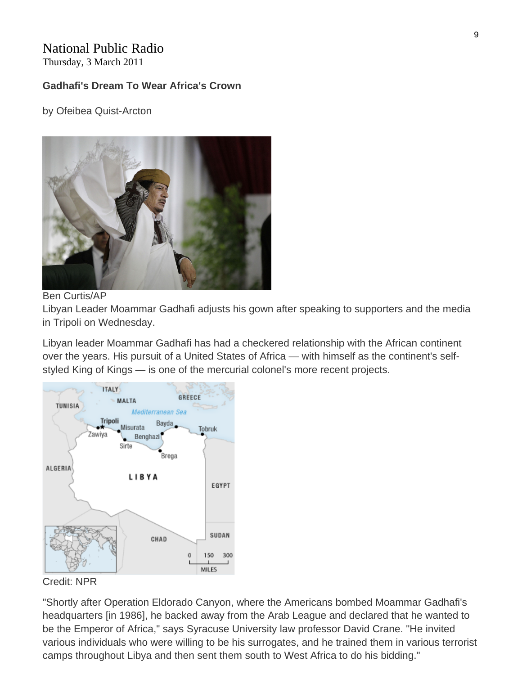# National Public Radio

Thursday, 3 March 2011

#### **Gadhafi's Dream To Wear Africa's Crown**

by Ofeibea Quist-Arcton



Ben Curtis/AP

Libyan Leader Moammar Gadhafi adjusts his gown after speaking to supporters and the media in Tripoli on Wednesday.

Libyan leader Moammar Gadhafi has had a checkered relationship with the African continent over the years. His pursuit of a United States of Africa — with himself as the continent's selfstyled King of Kings — is one of the mercurial colonel's more recent projects.



Credit: NPR

"Shortly after Operation Eldorado Canyon, where the Americans bombed Moammar Gadhafi's headquarters [in 1986], he backed away from the Arab League and declared that he wanted to be the Emperor of Africa," says Syracuse University law professor David Crane. "He invited various individuals who were willing to be his surrogates, and he trained them in various terrorist camps throughout Libya and then sent them south to West Africa to do his bidding."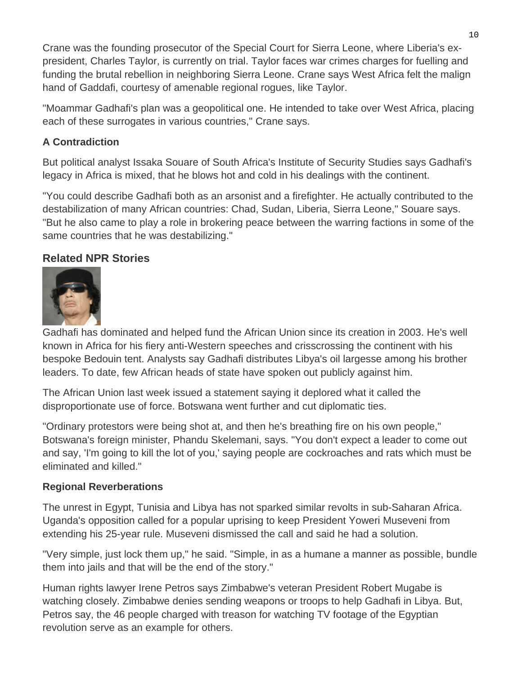Crane was the founding prosecutor of the Special Court for Sierra Leone, where Liberia's expresident, Charles Taylor, is currently on trial. Taylor faces war crimes charges for fuelling and funding the brutal rebellion in neighboring Sierra Leone. Crane says West Africa felt the malign hand of Gaddafi, courtesy of amenable regional rogues, like Taylor.

"Moammar Gadhafi's plan was a geopolitical one. He intended to take over West Africa, placing each of these surrogates in various countries," Crane says.

# **A Contradiction**

But political analyst Issaka Souare of South Africa's Institute of Security Studies says Gadhafi's legacy in Africa is mixed, that he blows hot and cold in his dealings with the continent.

"You could describe Gadhafi both as an arsonist and a firefighter. He actually contributed to the destabilization of many African countries: Chad, Sudan, Liberia, Sierra Leone," Souare says. "But he also came to play a role in brokering peace between the warring factions in some of the same countries that he was destabilizing."

# **[Related NPR](http://www.npr.org/2011/03/02/134182969/wholl-fill-void-if-gadhafi-falls-u-s-wishes-it-knew) Stories**



Gadhafi has dominated and helped fund the African Union since its creation in 2003. He's well known in Africa for his fiery anti-Western speeches and crisscrossing the continent with his bespoke Bedouin tent. Analysts say Gadhafi distributes Libya's oil largesse among his brother leaders. To date, few African heads of state have spoken out publicly against him.

The African Union last week issued a statement saying it deplored what it called the disproportionate use of force. Botswana went further and cut diplomatic ties.

"Ordinary protestors were being shot at, and then he's breathing fire on his own people," Botswana's foreign minister, Phandu Skelemani, says. "You don't expect a leader to come out and say, 'I'm going to kill the lot of you,' saying people are cockroaches and rats which must be eliminated and killed."

## **Regional Reverberations**

The unrest in Egypt, Tunisia and Libya has not sparked similar revolts in sub-Saharan Africa. Uganda's opposition called for a popular uprising to keep President Yoweri Museveni from extending his 25-year rule. Museveni dismissed the call and said he had a solution.

"Very simple, just lock them up," he said. "Simple, in as a humane a manner as possible, bundle them into jails and that will be the end of the story."

Human rights lawyer Irene Petros says Zimbabwe's veteran President Robert Mugabe is watching closely. Zimbabwe denies sending weapons or troops to help Gadhafi in Libya. But, Petros say, the 46 people charged with treason for watching TV footage of the Egyptian revolution serve as an example for others.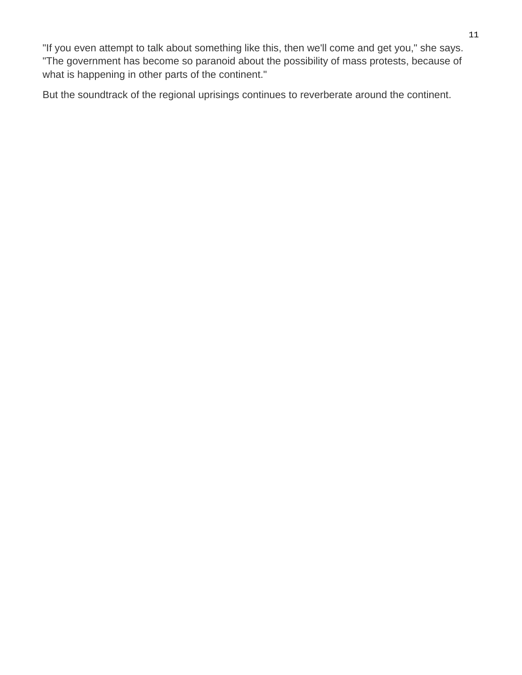"If you even attempt to talk about something like this, then we'll come and get you," she says. "The government has become so paranoid about the possibility of mass protests, because of what is happening in other parts of the continent."

But the soundtrack of the regional uprisings continues to reverberate around the continent.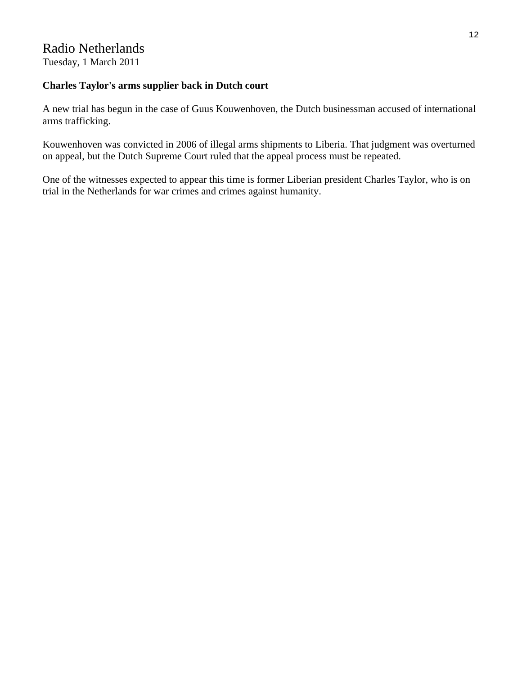## Radio Netherlands Tuesday, 1 March 2011

#### **Charles Taylor's arms supplier back in Dutch court**

A new trial has begun in the case of Guus Kouwenhoven, the Dutch businessman accused of international arms trafficking.

Kouwenhoven was convicted in 2006 of illegal arms shipments to Liberia. That judgment was overturned on appeal, but the Dutch Supreme Court ruled that the appeal process must be repeated.

One of the witnesses expected to appear this time is former Liberian president Charles Taylor, who is on trial in the Netherlands for war crimes and crimes against humanity.